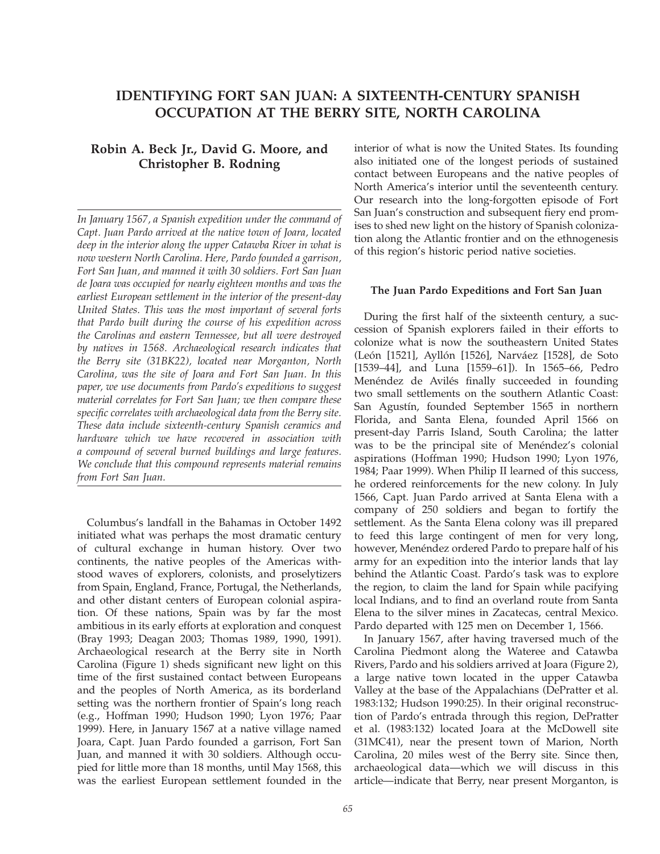# IDENTIFYING FORT SAN JUAN: A SIXTEENTH-CENTURY SPANISH OCCUPATION AT THE BERRY SITE, NORTH CAROLINA

## Robin A. Beck Jr., David G. Moore, and Christopher B. Rodning

In January 1567, a Spanish expedition under the command of Capt. Juan Pardo arrived at the native town of Joara, located deep in the interior along the upper Catawba River in what is now western North Carolina. Here, Pardo founded a garrison, Fort San Juan, and manned it with 30 soldiers. Fort San Juan de Joara was occupied for nearly eighteen months and was the earliest European settlement in the interior of the present-day United States. This was the most important of several forts that Pardo built during the course of his expedition across the Carolinas and eastern Tennessee, but all were destroyed by natives in 1568. Archaeological research indicates that the Berry site (31BK22), located near Morganton, North Carolina, was the site of Joara and Fort San Juan. In this paper, we use documents from Pardo's expeditions to suggest material correlates for Fort San Juan; we then compare these specific correlates with archaeological data from the Berry site. These data include sixteenth-century Spanish ceramics and hardware which we have recovered in association with a compound of several burned buildings and large features. We conclude that this compound represents material remains from Fort San Juan.

Columbus's landfall in the Bahamas in October 1492 initiated what was perhaps the most dramatic century of cultural exchange in human history. Over two continents, the native peoples of the Americas withstood waves of explorers, colonists, and proselytizers from Spain, England, France, Portugal, the Netherlands, and other distant centers of European colonial aspiration. Of these nations, Spain was by far the most ambitious in its early efforts at exploration and conquest (Bray 1993; Deagan 2003; Thomas 1989, 1990, 1991). Archaeological research at the Berry site in North Carolina (Figure 1) sheds significant new light on this time of the first sustained contact between Europeans and the peoples of North America, as its borderland setting was the northern frontier of Spain's long reach (e.g., Hoffman 1990; Hudson 1990; Lyon 1976; Paar 1999). Here, in January 1567 at a native village named Joara, Capt. Juan Pardo founded a garrison, Fort San Juan, and manned it with 30 soldiers. Although occupied for little more than 18 months, until May 1568, this was the earliest European settlement founded in the interior of what is now the United States. Its founding also initiated one of the longest periods of sustained contact between Europeans and the native peoples of North America's interior until the seventeenth century. Our research into the long-forgotten episode of Fort San Juan's construction and subsequent fiery end promises to shed new light on the history of Spanish colonization along the Atlantic frontier and on the ethnogenesis of this region's historic period native societies.

## The Juan Pardo Expeditions and Fort San Juan

During the first half of the sixteenth century, a succession of Spanish explorers failed in their efforts to colonize what is now the southeastern United States (León [1521], Ayllón [1526], Narváez [1528], de Soto [1539–44], and Luna [1559–61]). In 1565–66, Pedro Menéndez de Avilés finally succeeded in founding two small settlements on the southern Atlantic Coast: San Agustín, founded September 1565 in northern Florida, and Santa Elena, founded April 1566 on present-day Parris Island, South Carolina; the latter was to be the principal site of Menéndez's colonial aspirations (Hoffman 1990; Hudson 1990; Lyon 1976, 1984; Paar 1999). When Philip II learned of this success, he ordered reinforcements for the new colony. In July 1566, Capt. Juan Pardo arrived at Santa Elena with a company of 250 soldiers and began to fortify the settlement. As the Santa Elena colony was ill prepared to feed this large contingent of men for very long, however, Menéndez ordered Pardo to prepare half of his army for an expedition into the interior lands that lay behind the Atlantic Coast. Pardo's task was to explore the region, to claim the land for Spain while pacifying local Indians, and to find an overland route from Santa Elena to the silver mines in Zacatecas, central Mexico. Pardo departed with 125 men on December 1, 1566.

In January 1567, after having traversed much of the Carolina Piedmont along the Wateree and Catawba Rivers, Pardo and his soldiers arrived at Joara (Figure 2), a large native town located in the upper Catawba Valley at the base of the Appalachians (DePratter et al. 1983:132; Hudson 1990:25). In their original reconstruction of Pardo's entrada through this region, DePratter et al. (1983:132) located Joara at the McDowell site (31MC41), near the present town of Marion, North Carolina, 20 miles west of the Berry site. Since then, archaeological data—which we will discuss in this article—indicate that Berry, near present Morganton, is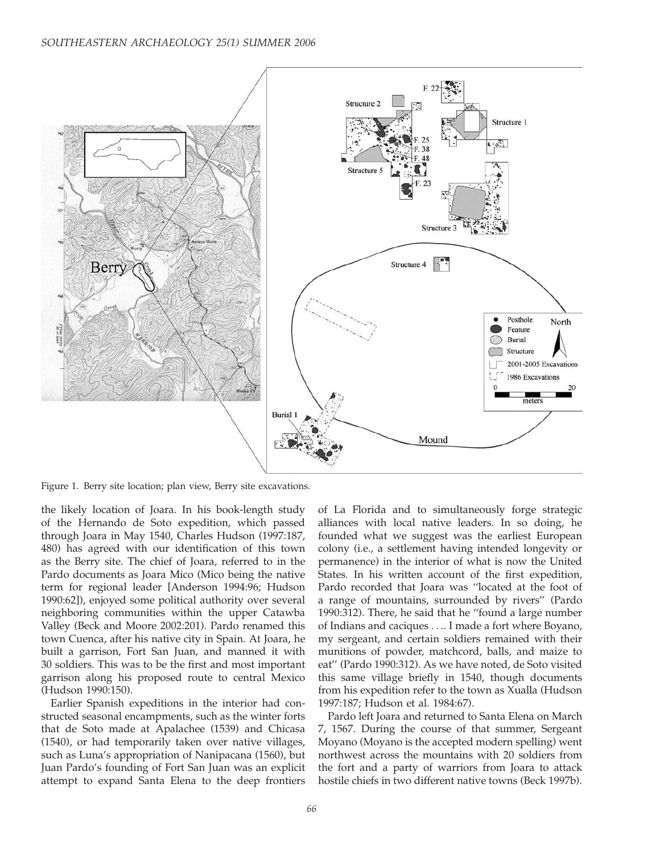

Figure 1. Berry site location; plan view, Berry site excavations.

the likely location of Joara. In his book-length study of the Hernando de Soto expedition, which passed through Joara in May 1540, Charles Hudson (1997:187, 480) has agreed with our identification of this town as the Berry site. The chief of Joara, referred to in the Pardo documents as Joara Mico (Mico being the native term for regional leader [Anderson 1994:96; Hudson 1990:62]), enjoyed some political authority over several neighboring communities within the upper Catawba Valley (Beck and Moore 2002:201). Pardo renamed this town Cuenca, after his native city in Spain. At Joara, he built a garrison, Fort San Juan, and manned it with 30 soldiers. This was to be the first and most important garrison along his proposed route to central Mexico (Hudson 1990:150).

Earlier Spanish expeditions in the interior had constructed seasonal encampments, such as the winter forts that de Soto made at Apalachee (1539) and Chicasa (1540), or had temporarily taken over native villages, such as Luna's appropriation of Nanipacana (1560), but Juan Pardo's founding of Fort San Juan was an explicit attempt to expand Santa Elena to the deep frontiers

of La Florida and to simultaneously forge strategic alliances with local native leaders. In so doing, he founded what we suggest was the earliest European colony (i.e., a settlement having intended longevity or permanence) in the interior of what is now the United States. In his written account of the first expedition, Pardo recorded that Joara was ''located at the foot of a range of mountains, surrounded by rivers'' (Pardo 1990:312). There, he said that he ''found a large number of Indians and caciques .... I made a fort where Boyano, my sergeant, and certain soldiers remained with their munitions of powder, matchcord, balls, and maize to eat'' (Pardo 1990:312). As we have noted, de Soto visited this same village briefly in 1540, though documents from his expedition refer to the town as Xualla (Hudson 1997:187; Hudson et al. 1984:67).

Pardo left Joara and returned to Santa Elena on March 7, 1567. During the course of that summer, Sergeant Moyano (Moyano is the accepted modern spelling) went northwest across the mountains with 20 soldiers from the fort and a party of warriors from Joara to attack hostile chiefs in two different native towns (Beck 1997b).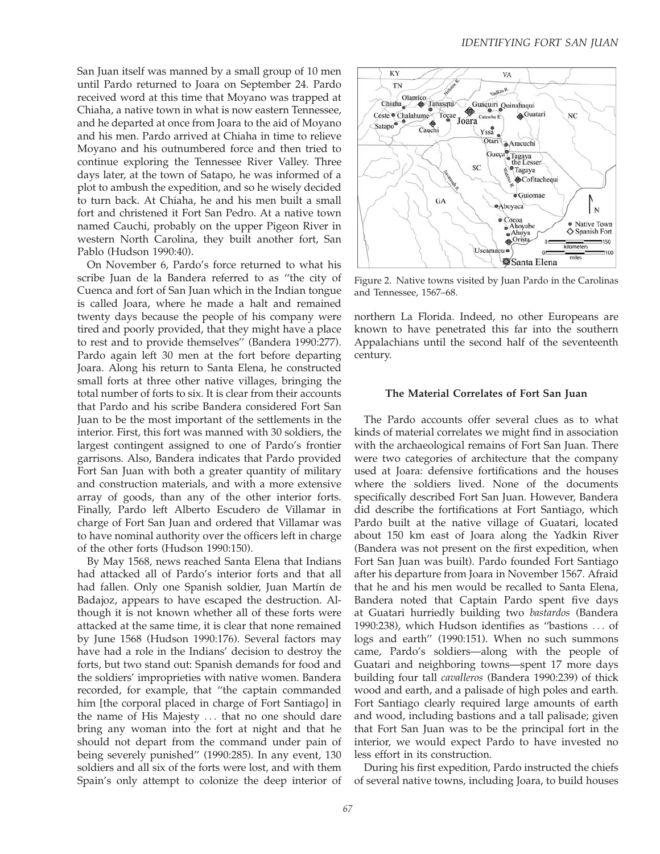San Juan itself was manned by a small group of 10 men until Pardo returned to Joara on September 24. Pardo received word at this time that Moyano was trapped at Chiaha, a native town in what is now eastern Tennessee, and he departed at once from Joara to the aid of Moyano and his men. Pardo arrived at Chiaha in time to relieve Moyano and his outnumbered force and then tried to continue exploring the Tennessee River Valley. Three days later, at the town of Satapo, he was informed of a plot to ambush the expedition, and so he wisely decided to turn back. At Chiaha, he and his men built a small fort and christened it Fort San Pedro. At a native town named Cauchi, probably on the upper Pigeon River in western North Carolina, they built another fort, San Pablo (Hudson 1990:40).

On November 6, Pardo's force returned to what his scribe Juan de la Bandera referred to as ''the city of Cuenca and fort of San Juan which in the Indian tongue is called Joara, where he made a halt and remained twenty days because the people of his company were tired and poorly provided, that they might have a place to rest and to provide themselves'' (Bandera 1990:277). Pardo again left 30 men at the fort before departing Joara. Along his return to Santa Elena, he constructed small forts at three other native villages, bringing the total number of forts to six. It is clear from their accounts that Pardo and his scribe Bandera considered Fort San Juan to be the most important of the settlements in the interior. First, this fort was manned with 30 soldiers, the largest contingent assigned to one of Pardo's frontier garrisons. Also, Bandera indicates that Pardo provided Fort San Juan with both a greater quantity of military and construction materials, and with a more extensive array of goods, than any of the other interior forts. Finally, Pardo left Alberto Escudero de Villamar in charge of Fort San Juan and ordered that Villamar was to have nominal authority over the officers left in charge of the other forts (Hudson 1990:150).

By May 1568, news reached Santa Elena that Indians had attacked all of Pardo's interior forts and that all had fallen. Only one Spanish soldier, Juan Martín de Badajoz, appears to have escaped the destruction. Although it is not known whether all of these forts were attacked at the same time, it is clear that none remained by June 1568 (Hudson 1990:176). Several factors may have had a role in the Indians' decision to destroy the forts, but two stand out: Spanish demands for food and the soldiers' improprieties with native women. Bandera recorded, for example, that ''the captain commanded him [the corporal placed in charge of Fort Santiago] in the name of His Majesty ... that no one should dare bring any woman into the fort at night and that he should not depart from the command under pain of being severely punished'' (1990:285). In any event, 130 soldiers and all six of the forts were lost, and with them Spain's only attempt to colonize the deep interior of



Figure 2. Native towns visited by Juan Pardo in the Carolinas and Tennessee, 1567–68.

northern La Florida. Indeed, no other Europeans are known to have penetrated this far into the southern Appalachians until the second half of the seventeenth century.

#### The Material Correlates of Fort San Juan

The Pardo accounts offer several clues as to what kinds of material correlates we might find in association with the archaeological remains of Fort San Juan. There were two categories of architecture that the company used at Joara: defensive fortifications and the houses where the soldiers lived. None of the documents specifically described Fort San Juan. However, Bandera did describe the fortifications at Fort Santiago, which Pardo built at the native village of Guatari, located about 150 km east of Joara along the Yadkin River (Bandera was not present on the first expedition, when Fort San Juan was built). Pardo founded Fort Santiago after his departure from Joara in November 1567. Afraid that he and his men would be recalled to Santa Elena, Bandera noted that Captain Pardo spent five days at Guatari hurriedly building two bastardos (Bandera 1990:238), which Hudson identifies as ''bastions ... of logs and earth'' (1990:151). When no such summons came, Pardo's soldiers—along with the people of Guatari and neighboring towns—spent 17 more days building four tall cavalleros (Bandera 1990:239) of thick wood and earth, and a palisade of high poles and earth. Fort Santiago clearly required large amounts of earth and wood, including bastions and a tall palisade; given that Fort San Juan was to be the principal fort in the interior, we would expect Pardo to have invested no less effort in its construction.

During his first expedition, Pardo instructed the chiefs of several native towns, including Joara, to build houses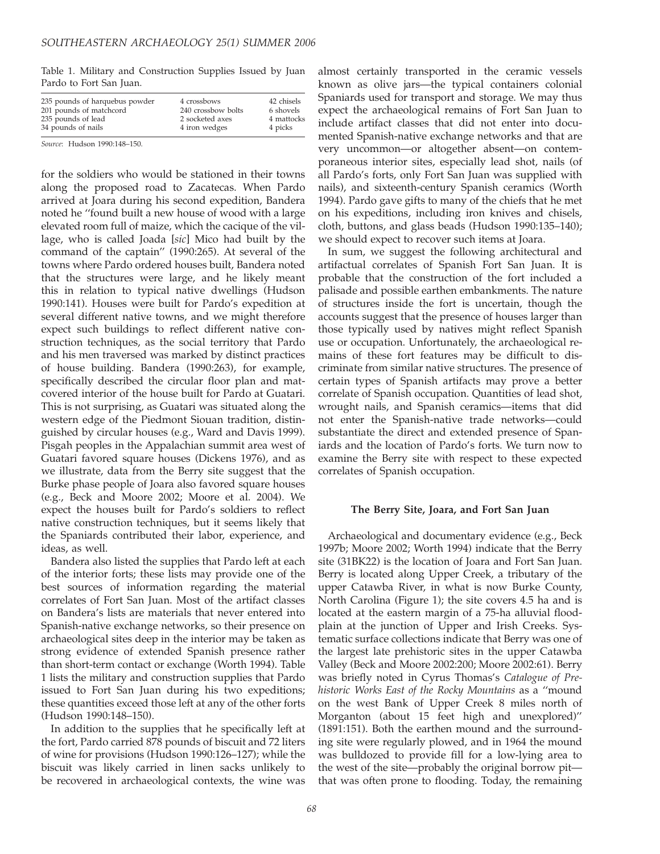Table 1. Military and Construction Supplies Issued by Juan Pardo to Fort San Juan.

| 235 pounds of harquebus powder | 4 crossbows        | 42 chisels |
|--------------------------------|--------------------|------------|
| 201 pounds of matchcord        | 240 crossbow bolts | 6 shovels  |
| 235 pounds of lead             | 2 socketed axes    | 4 mattocks |
| 34 pounds of nails             | 4 iron wedges      | 4 picks    |

Source: Hudson 1990:148–150.

for the soldiers who would be stationed in their towns along the proposed road to Zacatecas. When Pardo arrived at Joara during his second expedition, Bandera noted he ''found built a new house of wood with a large elevated room full of maize, which the cacique of the village, who is called Joada [sic] Mico had built by the command of the captain'' (1990:265). At several of the towns where Pardo ordered houses built, Bandera noted that the structures were large, and he likely meant this in relation to typical native dwellings (Hudson 1990:141). Houses were built for Pardo's expedition at several different native towns, and we might therefore expect such buildings to reflect different native construction techniques, as the social territory that Pardo and his men traversed was marked by distinct practices of house building. Bandera (1990:263), for example, specifically described the circular floor plan and matcovered interior of the house built for Pardo at Guatari. This is not surprising, as Guatari was situated along the western edge of the Piedmont Siouan tradition, distinguished by circular houses (e.g., Ward and Davis 1999). Pisgah peoples in the Appalachian summit area west of Guatari favored square houses (Dickens 1976), and as we illustrate, data from the Berry site suggest that the Burke phase people of Joara also favored square houses (e.g., Beck and Moore 2002; Moore et al. 2004). We expect the houses built for Pardo's soldiers to reflect native construction techniques, but it seems likely that the Spaniards contributed their labor, experience, and ideas, as well.

Bandera also listed the supplies that Pardo left at each of the interior forts; these lists may provide one of the best sources of information regarding the material correlates of Fort San Juan. Most of the artifact classes on Bandera's lists are materials that never entered into Spanish-native exchange networks, so their presence on archaeological sites deep in the interior may be taken as strong evidence of extended Spanish presence rather than short-term contact or exchange (Worth 1994). Table 1 lists the military and construction supplies that Pardo issued to Fort San Juan during his two expeditions; these quantities exceed those left at any of the other forts (Hudson 1990:148–150).

In addition to the supplies that he specifically left at the fort, Pardo carried 878 pounds of biscuit and 72 liters of wine for provisions (Hudson 1990:126–127); while the biscuit was likely carried in linen sacks unlikely to be recovered in archaeological contexts, the wine was

almost certainly transported in the ceramic vessels known as olive jars—the typical containers colonial Spaniards used for transport and storage. We may thus expect the archaeological remains of Fort San Juan to include artifact classes that did not enter into documented Spanish-native exchange networks and that are very uncommon—or altogether absent—on contemporaneous interior sites, especially lead shot, nails (of all Pardo's forts, only Fort San Juan was supplied with nails), and sixteenth-century Spanish ceramics (Worth 1994). Pardo gave gifts to many of the chiefs that he met on his expeditions, including iron knives and chisels, cloth, buttons, and glass beads (Hudson 1990:135–140); we should expect to recover such items at Joara.

In sum, we suggest the following architectural and artifactual correlates of Spanish Fort San Juan. It is probable that the construction of the fort included a palisade and possible earthen embankments. The nature of structures inside the fort is uncertain, though the accounts suggest that the presence of houses larger than those typically used by natives might reflect Spanish use or occupation. Unfortunately, the archaeological remains of these fort features may be difficult to discriminate from similar native structures. The presence of certain types of Spanish artifacts may prove a better correlate of Spanish occupation. Quantities of lead shot, wrought nails, and Spanish ceramics—items that did not enter the Spanish-native trade networks—could substantiate the direct and extended presence of Spaniards and the location of Pardo's forts. We turn now to examine the Berry site with respect to these expected correlates of Spanish occupation.

### The Berry Site, Joara, and Fort San Juan

Archaeological and documentary evidence (e.g., Beck 1997b; Moore 2002; Worth 1994) indicate that the Berry site (31BK22) is the location of Joara and Fort San Juan. Berry is located along Upper Creek, a tributary of the upper Catawba River, in what is now Burke County, North Carolina (Figure 1); the site covers 4.5 ha and is located at the eastern margin of a 75-ha alluvial floodplain at the junction of Upper and Irish Creeks. Systematic surface collections indicate that Berry was one of the largest late prehistoric sites in the upper Catawba Valley (Beck and Moore 2002:200; Moore 2002:61). Berry was briefly noted in Cyrus Thomas's Catalogue of Prehistoric Works East of the Rocky Mountains as a ''mound on the west Bank of Upper Creek 8 miles north of Morganton (about 15 feet high and unexplored)'' (1891:151). Both the earthen mound and the surrounding site were regularly plowed, and in 1964 the mound was bulldozed to provide fill for a low-lying area to the west of the site—probably the original borrow pit that was often prone to flooding. Today, the remaining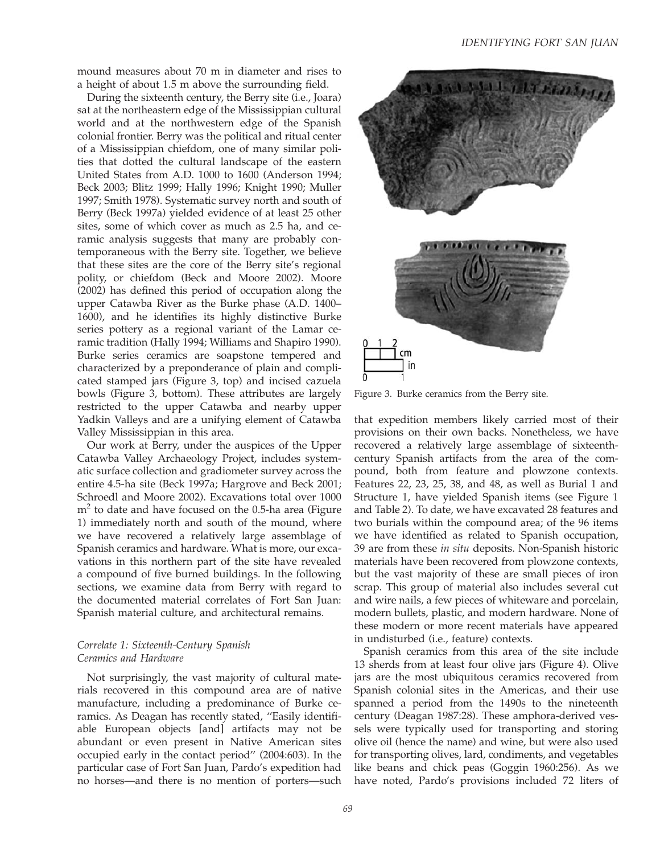mound measures about 70 m in diameter and rises to a height of about 1.5 m above the surrounding field.

During the sixteenth century, the Berry site (i.e., Joara) sat at the northeastern edge of the Mississippian cultural world and at the northwestern edge of the Spanish colonial frontier. Berry was the political and ritual center of a Mississippian chiefdom, one of many similar polities that dotted the cultural landscape of the eastern United States from A.D. 1000 to 1600 (Anderson 1994; Beck 2003; Blitz 1999; Hally 1996; Knight 1990; Muller 1997; Smith 1978). Systematic survey north and south of Berry (Beck 1997a) yielded evidence of at least 25 other sites, some of which cover as much as 2.5 ha, and ceramic analysis suggests that many are probably contemporaneous with the Berry site. Together, we believe that these sites are the core of the Berry site's regional polity, or chiefdom (Beck and Moore 2002). Moore (2002) has defined this period of occupation along the upper Catawba River as the Burke phase (A.D. 1400– 1600), and he identifies its highly distinctive Burke series pottery as a regional variant of the Lamar ceramic tradition (Hally 1994; Williams and Shapiro 1990). Burke series ceramics are soapstone tempered and characterized by a preponderance of plain and complicated stamped jars (Figure 3, top) and incised cazuela bowls (Figure 3, bottom). These attributes are largely restricted to the upper Catawba and nearby upper Yadkin Valleys and are a unifying element of Catawba Valley Mississippian in this area.

Our work at Berry, under the auspices of the Upper Catawba Valley Archaeology Project, includes systematic surface collection and gradiometer survey across the entire 4.5-ha site (Beck 1997a; Hargrove and Beck 2001; Schroedl and Moore 2002). Excavations total over 1000  $m<sup>2</sup>$  to date and have focused on the 0.5-ha area (Figure 1) immediately north and south of the mound, where we have recovered a relatively large assemblage of Spanish ceramics and hardware. What is more, our excavations in this northern part of the site have revealed a compound of five burned buildings. In the following sections, we examine data from Berry with regard to the documented material correlates of Fort San Juan: Spanish material culture, and architectural remains.

## Correlate 1: Sixteenth-Century Spanish Ceramics and Hardware

Not surprisingly, the vast majority of cultural materials recovered in this compound area are of native manufacture, including a predominance of Burke ceramics. As Deagan has recently stated, ''Easily identifiable European objects [and] artifacts may not be abundant or even present in Native American sites occupied early in the contact period'' (2004:603). In the particular case of Fort San Juan, Pardo's expedition had no horses—and there is no mention of porters—such



Figure 3. Burke ceramics from the Berry site.

that expedition members likely carried most of their provisions on their own backs. Nonetheless, we have recovered a relatively large assemblage of sixteenthcentury Spanish artifacts from the area of the compound, both from feature and plowzone contexts. Features 22, 23, 25, 38, and 48, as well as Burial 1 and Structure 1, have yielded Spanish items (see Figure 1 and Table 2). To date, we have excavated 28 features and two burials within the compound area; of the 96 items we have identified as related to Spanish occupation, 39 are from these in situ deposits. Non-Spanish historic materials have been recovered from plowzone contexts, but the vast majority of these are small pieces of iron scrap. This group of material also includes several cut and wire nails, a few pieces of whiteware and porcelain, modern bullets, plastic, and modern hardware. None of these modern or more recent materials have appeared in undisturbed (i.e., feature) contexts.

Spanish ceramics from this area of the site include 13 sherds from at least four olive jars (Figure 4). Olive jars are the most ubiquitous ceramics recovered from Spanish colonial sites in the Americas, and their use spanned a period from the 1490s to the nineteenth century (Deagan 1987:28). These amphora-derived vessels were typically used for transporting and storing olive oil (hence the name) and wine, but were also used for transporting olives, lard, condiments, and vegetables like beans and chick peas (Goggin 1960:256). As we have noted, Pardo's provisions included 72 liters of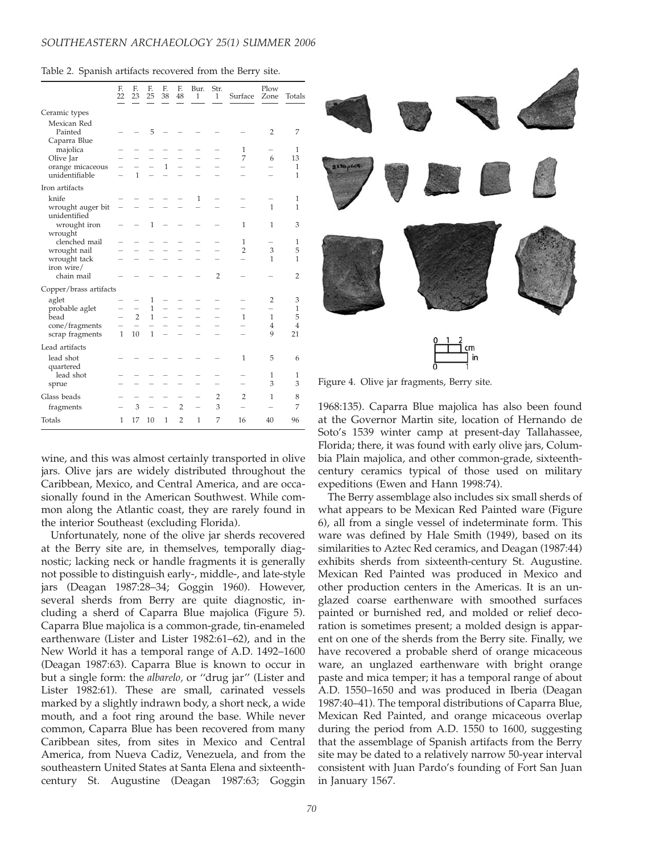|  |  |  | Table 2. Spanish artifacts recovered from the Berry site. |  |  |  |  |
|--|--|--|-----------------------------------------------------------|--|--|--|--|
|--|--|--|-----------------------------------------------------------|--|--|--|--|

|                                                                                                       | F.<br>22     | F.<br>23                                   | F.<br>25                          | F.<br>38     | F.<br>48       | Bur.<br>$\mathbf{1}$ | Str.<br>$\mathbf{1}$ | Surface             | Plow<br>Zone                   | Totals            |
|-------------------------------------------------------------------------------------------------------|--------------|--------------------------------------------|-----------------------------------|--------------|----------------|----------------------|----------------------|---------------------|--------------------------------|-------------------|
| Ceramic types                                                                                         |              |                                            |                                   |              |                |                      |                      |                     |                                |                   |
| Mexican Red<br>Painted<br>Caparra Blue<br>majolica<br>Olive Jar<br>orange micaceous<br>unidentifiable |              |                                            | 5                                 |              |                |                      |                      |                     | $\overline{2}$                 | 7                 |
|                                                                                                       |              |                                            |                                   |              |                |                      |                      | 1<br>7              | 6                              | 1<br>13           |
|                                                                                                       |              | $\mathbf{1}$                               |                                   | $\mathbf{1}$ |                |                      |                      |                     |                                | 1<br>1            |
| Iron artifacts                                                                                        |              |                                            |                                   |              |                |                      |                      |                     |                                |                   |
| knife<br>wrought auger bit                                                                            |              |                                            |                                   |              |                | 1                    |                      |                     | 1                              | 1<br>1            |
| unidentified<br>wrought iron<br>wrought<br>clenched mail<br>wrought nail                              |              |                                            | $\mathbf{1}$                      |              |                |                      |                      | 1                   | 1                              | 3                 |
|                                                                                                       |              |                                            |                                   |              |                |                      |                      | 1<br>$\overline{2}$ | 3                              | 1<br>5            |
| wrought tack<br>iron wire/                                                                            |              |                                            |                                   |              |                |                      |                      |                     | 1                              | 1                 |
| chain mail                                                                                            |              |                                            |                                   |              |                |                      | $\overline{2}$       |                     |                                | $\overline{2}$    |
| Copper/brass artifacts                                                                                |              |                                            |                                   |              |                |                      |                      |                     |                                |                   |
| aglet<br>probable aglet<br>bead<br>cone/fragments<br>scrap fragments                                  |              | $\overline{\phantom{0}}$<br>$\overline{2}$ | 1<br>$\mathbf{1}$<br>$\mathbf{1}$ |              |                |                      |                      | 1                   | $\overline{2}$<br>$\mathbf{1}$ | 3<br>1<br>5       |
|                                                                                                       | $\mathbf{1}$ | 10                                         | $\mathbf{1}$                      |              |                |                      |                      |                     | 4<br>9                         | 4<br>21           |
| Lead artifacts                                                                                        |              |                                            |                                   |              |                |                      |                      |                     |                                |                   |
| lead shot<br>quartered<br>lead shot<br>sprue                                                          |              |                                            |                                   |              |                |                      |                      | 1                   | 5                              | 6                 |
|                                                                                                       |              |                                            |                                   |              |                |                      |                      |                     | 1<br>3                         | $\mathbf{1}$<br>3 |
| Glass beads                                                                                           |              |                                            |                                   |              |                |                      | $\overline{2}$       | 2                   | 1                              | 8                 |
| fragments                                                                                             |              | 3                                          |                                   |              | $\overline{2}$ |                      | 3                    |                     |                                | 7                 |
| Totals                                                                                                | 1            | 17                                         | 10                                | $\mathbf{1}$ | $\overline{2}$ | 1                    | 7                    | 16                  | 40                             | 96                |

wine, and this was almost certainly transported in olive jars. Olive jars are widely distributed throughout the Caribbean, Mexico, and Central America, and are occasionally found in the American Southwest. While common along the Atlantic coast, they are rarely found in the interior Southeast (excluding Florida).

Unfortunately, none of the olive jar sherds recovered at the Berry site are, in themselves, temporally diagnostic; lacking neck or handle fragments it is generally not possible to distinguish early-, middle-, and late-style jars (Deagan 1987:28–34; Goggin 1960). However, several sherds from Berry are quite diagnostic, including a sherd of Caparra Blue majolica (Figure 5). Caparra Blue majolica is a common-grade, tin-enameled earthenware (Lister and Lister 1982:61–62), and in the New World it has a temporal range of A.D. 1492–1600 (Deagan 1987:63). Caparra Blue is known to occur in but a single form: the albarelo, or ''drug jar'' (Lister and Lister 1982:61). These are small, carinated vessels marked by a slightly indrawn body, a short neck, a wide mouth, and a foot ring around the base. While never common, Caparra Blue has been recovered from many Caribbean sites, from sites in Mexico and Central America, from Nueva Cadiz, Venezuela, and from the southeastern United States at Santa Elena and sixteenthcentury St. Augustine (Deagan 1987:63; Goggin



Figure 4. Olive jar fragments, Berry site.

1968:135). Caparra Blue majolica has also been found at the Governor Martin site, location of Hernando de Soto's 1539 winter camp at present-day Tallahassee, Florida; there, it was found with early olive jars, Columbia Plain majolica, and other common-grade, sixteenthcentury ceramics typical of those used on military expeditions (Ewen and Hann 1998:74).

The Berry assemblage also includes six small sherds of what appears to be Mexican Red Painted ware (Figure 6), all from a single vessel of indeterminate form. This ware was defined by Hale Smith (1949), based on its similarities to Aztec Red ceramics, and Deagan (1987:44) exhibits sherds from sixteenth-century St. Augustine. Mexican Red Painted was produced in Mexico and other production centers in the Americas. It is an unglazed coarse earthenware with smoothed surfaces painted or burnished red, and molded or relief decoration is sometimes present; a molded design is apparent on one of the sherds from the Berry site. Finally, we have recovered a probable sherd of orange micaceous ware, an unglazed earthenware with bright orange paste and mica temper; it has a temporal range of about A.D. 1550–1650 and was produced in Iberia (Deagan 1987:40–41). The temporal distributions of Caparra Blue, Mexican Red Painted, and orange micaceous overlap during the period from A.D. 1550 to 1600, suggesting that the assemblage of Spanish artifacts from the Berry site may be dated to a relatively narrow 50-year interval consistent with Juan Pardo's founding of Fort San Juan in January 1567.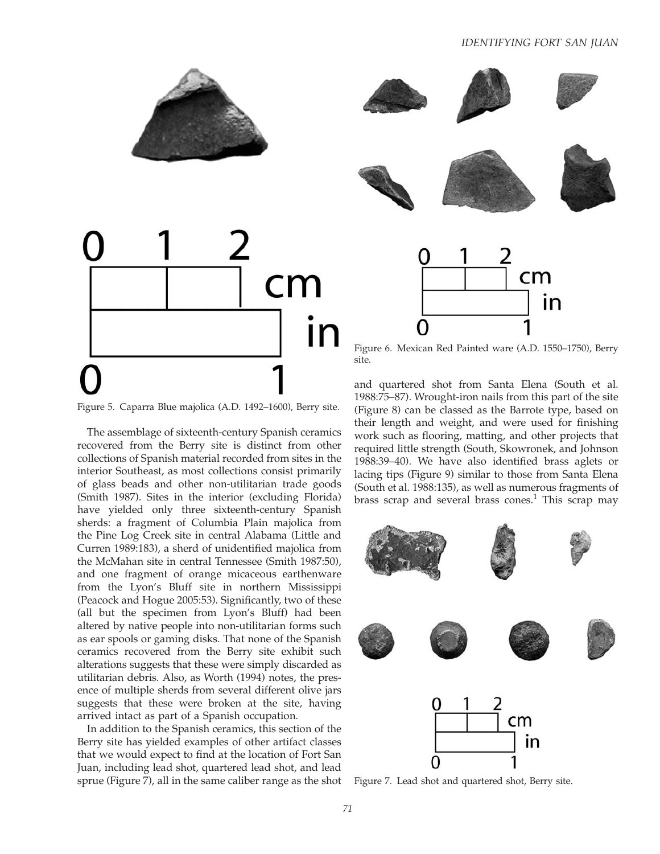

The assemblage of sixteenth-century Spanish ceramics recovered from the Berry site is distinct from other collections of Spanish material recorded from sites in the interior Southeast, as most collections consist primarily of glass beads and other non-utilitarian trade goods (Smith 1987). Sites in the interior (excluding Florida) have yielded only three sixteenth-century Spanish sherds: a fragment of Columbia Plain majolica from the Pine Log Creek site in central Alabama (Little and Curren 1989:183), a sherd of unidentified majolica from the McMahan site in central Tennessee (Smith 1987:50), and one fragment of orange micaceous earthenware from the Lyon's Bluff site in northern Mississippi (Peacock and Hogue 2005:53). Significantly, two of these (all but the specimen from Lyon's Bluff) had been altered by native people into non-utilitarian forms such as ear spools or gaming disks. That none of the Spanish ceramics recovered from the Berry site exhibit such alterations suggests that these were simply discarded as utilitarian debris. Also, as Worth (1994) notes, the presence of multiple sherds from several different olive jars suggests that these were broken at the site, having arrived intact as part of a Spanish occupation.

In addition to the Spanish ceramics, this section of the Berry site has yielded examples of other artifact classes that we would expect to find at the location of Fort San Juan, including lead shot, quartered lead shot, and lead sprue (Figure 7), all in the same caliber range as the shot



Figure 6. Mexican Red Painted ware (A.D. 1550–1750), Berry site.

and quartered shot from Santa Elena (South et al. 1988:75–87). Wrought-iron nails from this part of the site (Figure 8) can be classed as the Barrote type, based on their length and weight, and were used for finishing work such as flooring, matting, and other projects that required little strength (South, Skowronek, and Johnson 1988:39–40). We have also identified brass aglets or lacing tips (Figure 9) similar to those from Santa Elena (South et al. 1988:135), as well as numerous fragments of brass scrap and several brass cones.<sup>1</sup> This scrap may



Figure 7. Lead shot and quartered shot, Berry site.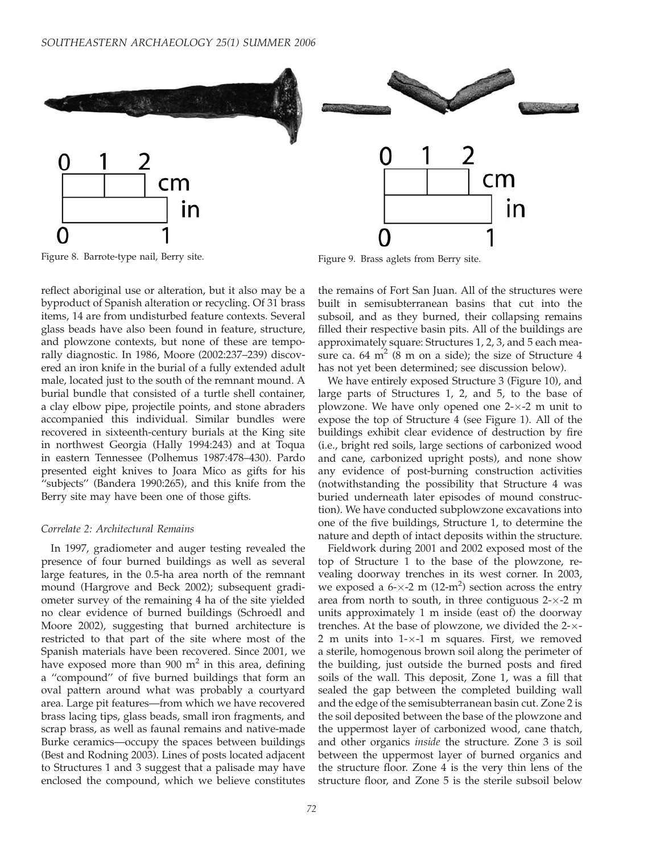

Figure 8. Barrote-type nail, Berry site. Figure 9. Brass aglets from Berry site.

reflect aboriginal use or alteration, but it also may be a byproduct of Spanish alteration or recycling. Of 31 brass items, 14 are from undisturbed feature contexts. Several glass beads have also been found in feature, structure, and plowzone contexts, but none of these are temporally diagnostic. In 1986, Moore (2002:237–239) discovered an iron knife in the burial of a fully extended adult male, located just to the south of the remnant mound. A burial bundle that consisted of a turtle shell container, a clay elbow pipe, projectile points, and stone abraders accompanied this individual. Similar bundles were recovered in sixteenth-century burials at the King site in northwest Georgia (Hally 1994:243) and at Toqua in eastern Tennessee (Polhemus 1987:478–430). Pardo presented eight knives to Joara Mico as gifts for his ''subjects'' (Bandera 1990:265), and this knife from the Berry site may have been one of those gifts.

#### Correlate 2: Architectural Remains

In 1997, gradiometer and auger testing revealed the presence of four burned buildings as well as several large features, in the 0.5-ha area north of the remnant mound (Hargrove and Beck 2002); subsequent gradiometer survey of the remaining 4 ha of the site yielded no clear evidence of burned buildings (Schroedl and Moore 2002), suggesting that burned architecture is restricted to that part of the site where most of the Spanish materials have been recovered. Since 2001, we have exposed more than 900  $m<sup>2</sup>$  in this area, defining a ''compound'' of five burned buildings that form an oval pattern around what was probably a courtyard area. Large pit features—from which we have recovered brass lacing tips, glass beads, small iron fragments, and scrap brass, as well as faunal remains and native-made Burke ceramics—occupy the spaces between buildings (Best and Rodning 2003). Lines of posts located adjacent to Structures 1 and 3 suggest that a palisade may have enclosed the compound, which we believe constitutes

the remains of Fort San Juan. All of the structures were built in semisubterranean basins that cut into the subsoil, and as they burned, their collapsing remains filled their respective basin pits. All of the buildings are approximately square: Structures 1, 2, 3, and 5 each measure ca.  $64 \text{ m}^2$  (8 m on a side); the size of Structure 4 has not yet been determined; see discussion below).

We have entirely exposed Structure 3 (Figure 10), and large parts of Structures 1, 2, and 5, to the base of plowzone. We have only opened one 2-x-2 m unit to expose the top of Structure 4 (see Figure 1). All of the buildings exhibit clear evidence of destruction by fire (i.e., bright red soils, large sections of carbonized wood and cane, carbonized upright posts), and none show any evidence of post-burning construction activities (notwithstanding the possibility that Structure 4 was buried underneath later episodes of mound construction). We have conducted subplowzone excavations into one of the five buildings, Structure 1, to determine the nature and depth of intact deposits within the structure.

Fieldwork during 2001 and 2002 exposed most of the top of Structure 1 to the base of the plowzone, revealing doorway trenches in its west corner. In 2003, we exposed a  $6-x-2$  m  $(12-m^2)$  section across the entry area from north to south, in three contiguous  $2-x-2$  m units approximately 1 m inside (east of) the doorway trenches. At the base of plowzone, we divided the  $2-x$ - $2$  m units into  $1-x-1$  m squares. First, we removed a sterile, homogenous brown soil along the perimeter of the building, just outside the burned posts and fired soils of the wall. This deposit, Zone 1, was a fill that sealed the gap between the completed building wall and the edge of the semisubterranean basin cut. Zone 2 is the soil deposited between the base of the plowzone and the uppermost layer of carbonized wood, cane thatch, and other organics *inside* the structure. Zone 3 is soil between the uppermost layer of burned organics and the structure floor. Zone 4 is the very thin lens of the structure floor, and Zone 5 is the sterile subsoil below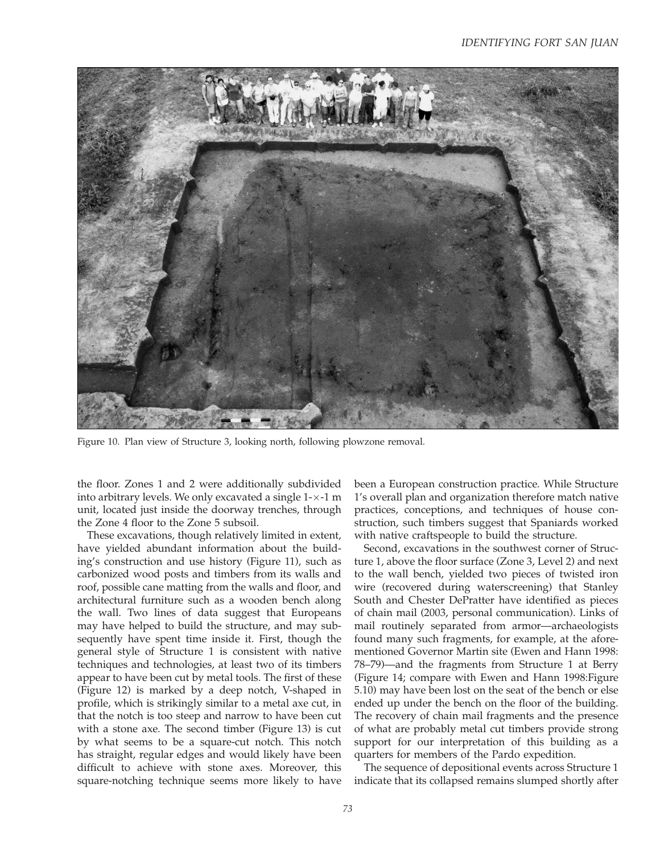

Figure 10. Plan view of Structure 3, looking north, following plowzone removal.

the floor. Zones 1 and 2 were additionally subdivided into arbitrary levels. We only excavated a single  $1\text{-}\times\text{-}1$  m unit, located just inside the doorway trenches, through the Zone 4 floor to the Zone 5 subsoil.

These excavations, though relatively limited in extent, have yielded abundant information about the building's construction and use history (Figure 11), such as carbonized wood posts and timbers from its walls and roof, possible cane matting from the walls and floor, and architectural furniture such as a wooden bench along the wall. Two lines of data suggest that Europeans may have helped to build the structure, and may subsequently have spent time inside it. First, though the general style of Structure 1 is consistent with native techniques and technologies, at least two of its timbers appear to have been cut by metal tools. The first of these (Figure 12) is marked by a deep notch, V-shaped in profile, which is strikingly similar to a metal axe cut, in that the notch is too steep and narrow to have been cut with a stone axe. The second timber (Figure 13) is cut by what seems to be a square-cut notch. This notch has straight, regular edges and would likely have been difficult to achieve with stone axes. Moreover, this square-notching technique seems more likely to have been a European construction practice. While Structure 1's overall plan and organization therefore match native practices, conceptions, and techniques of house construction, such timbers suggest that Spaniards worked with native craftspeople to build the structure.

Second, excavations in the southwest corner of Structure 1, above the floor surface (Zone 3, Level 2) and next to the wall bench, yielded two pieces of twisted iron wire (recovered during waterscreening) that Stanley South and Chester DePratter have identified as pieces of chain mail (2003, personal communication). Links of mail routinely separated from armor—archaeologists found many such fragments, for example, at the aforementioned Governor Martin site (Ewen and Hann 1998: 78–79)—and the fragments from Structure 1 at Berry (Figure 14; compare with Ewen and Hann 1998:Figure 5.10) may have been lost on the seat of the bench or else ended up under the bench on the floor of the building. The recovery of chain mail fragments and the presence of what are probably metal cut timbers provide strong support for our interpretation of this building as a quarters for members of the Pardo expedition.

The sequence of depositional events across Structure 1 indicate that its collapsed remains slumped shortly after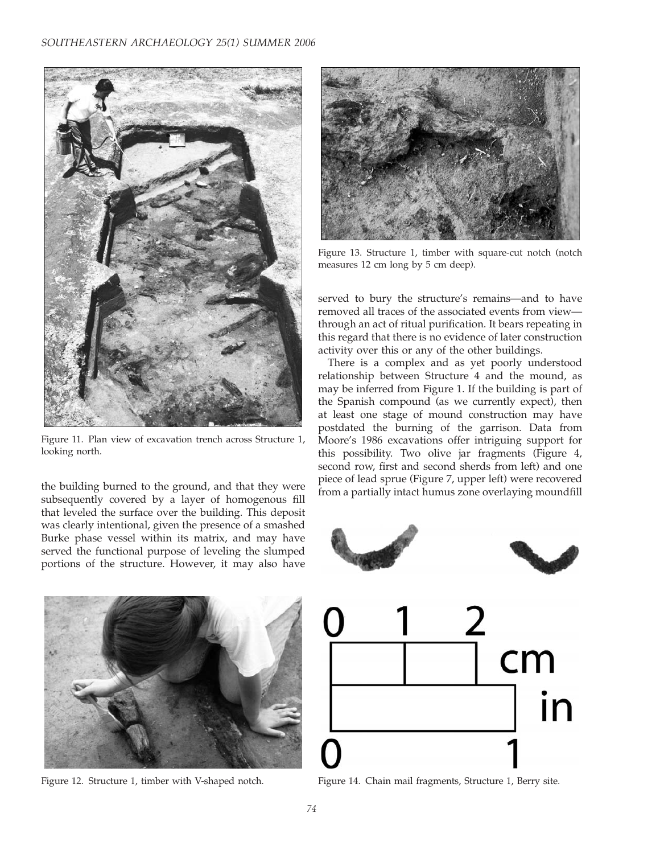

Figure 11. Plan view of excavation trench across Structure 1, looking north.

the building burned to the ground, and that they were subsequently covered by a layer of homogenous fill that leveled the surface over the building. This deposit was clearly intentional, given the presence of a smashed Burke phase vessel within its matrix, and may have served the functional purpose of leveling the slumped portions of the structure. However, it may also have



Figure 13. Structure 1, timber with square-cut notch (notch measures 12 cm long by 5 cm deep).

served to bury the structure's remains—and to have removed all traces of the associated events from view through an act of ritual purification. It bears repeating in this regard that there is no evidence of later construction activity over this or any of the other buildings.

There is a complex and as yet poorly understood relationship between Structure 4 and the mound, as may be inferred from Figure 1. If the building is part of the Spanish compound (as we currently expect), then at least one stage of mound construction may have postdated the burning of the garrison. Data from Moore's 1986 excavations offer intriguing support for this possibility. Two olive jar fragments (Figure 4, second row, first and second sherds from left) and one piece of lead sprue (Figure 7, upper left) were recovered from a partially intact humus zone overlaying moundfill





Figure 12. Structure 1, timber with V-shaped notch.



Figure 14. Chain mail fragments, Structure 1, Berry site.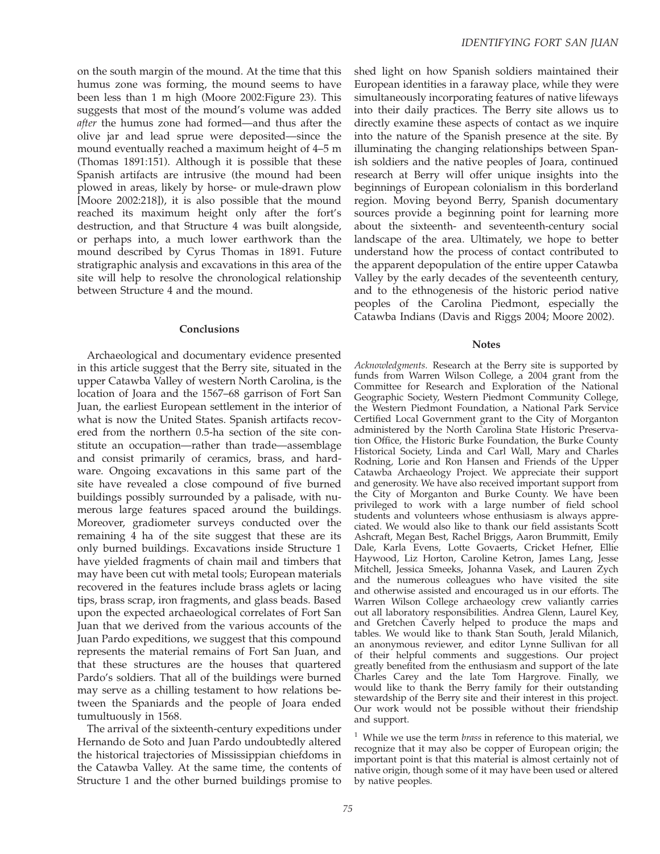on the south margin of the mound. At the time that this humus zone was forming, the mound seems to have been less than 1 m high (Moore 2002:Figure 23). This suggests that most of the mound's volume was added after the humus zone had formed—and thus after the olive jar and lead sprue were deposited—since the mound eventually reached a maximum height of 4–5 m (Thomas 1891:151). Although it is possible that these Spanish artifacts are intrusive (the mound had been plowed in areas, likely by horse- or mule-drawn plow [Moore 2002:218]), it is also possible that the mound reached its maximum height only after the fort's destruction, and that Structure 4 was built alongside, or perhaps into, a much lower earthwork than the mound described by Cyrus Thomas in 1891. Future stratigraphic analysis and excavations in this area of the site will help to resolve the chronological relationship between Structure 4 and the mound.

#### **Conclusions**

Archaeological and documentary evidence presented in this article suggest that the Berry site, situated in the upper Catawba Valley of western North Carolina, is the location of Joara and the 1567–68 garrison of Fort San Juan, the earliest European settlement in the interior of what is now the United States. Spanish artifacts recovered from the northern 0.5-ha section of the site constitute an occupation—rather than trade—assemblage and consist primarily of ceramics, brass, and hardware. Ongoing excavations in this same part of the site have revealed a close compound of five burned buildings possibly surrounded by a palisade, with numerous large features spaced around the buildings. Moreover, gradiometer surveys conducted over the remaining 4 ha of the site suggest that these are its only burned buildings. Excavations inside Structure 1 have yielded fragments of chain mail and timbers that may have been cut with metal tools; European materials recovered in the features include brass aglets or lacing tips, brass scrap, iron fragments, and glass beads. Based upon the expected archaeological correlates of Fort San Juan that we derived from the various accounts of the Juan Pardo expeditions, we suggest that this compound represents the material remains of Fort San Juan, and that these structures are the houses that quartered Pardo's soldiers. That all of the buildings were burned may serve as a chilling testament to how relations between the Spaniards and the people of Joara ended tumultuously in 1568.

The arrival of the sixteenth-century expeditions under Hernando de Soto and Juan Pardo undoubtedly altered the historical trajectories of Mississippian chiefdoms in the Catawba Valley. At the same time, the contents of Structure 1 and the other burned buildings promise to

shed light on how Spanish soldiers maintained their European identities in a faraway place, while they were simultaneously incorporating features of native lifeways into their daily practices. The Berry site allows us to directly examine these aspects of contact as we inquire into the nature of the Spanish presence at the site. By illuminating the changing relationships between Spanish soldiers and the native peoples of Joara, continued research at Berry will offer unique insights into the beginnings of European colonialism in this borderland region. Moving beyond Berry, Spanish documentary sources provide a beginning point for learning more about the sixteenth- and seventeenth-century social landscape of the area. Ultimately, we hope to better understand how the process of contact contributed to the apparent depopulation of the entire upper Catawba Valley by the early decades of the seventeenth century, and to the ethnogenesis of the historic period native peoples of the Carolina Piedmont, especially the Catawba Indians (Davis and Riggs 2004; Moore 2002).

#### **Notes**

Acknowledgments. Research at the Berry site is supported by funds from Warren Wilson College, a 2004 grant from the Committee for Research and Exploration of the National Geographic Society, Western Piedmont Community College, the Western Piedmont Foundation, a National Park Service Certified Local Government grant to the City of Morganton administered by the North Carolina State Historic Preservation Office, the Historic Burke Foundation, the Burke County Historical Society, Linda and Carl Wall, Mary and Charles Rodning, Lorie and Ron Hansen and Friends of the Upper Catawba Archaeology Project. We appreciate their support and generosity. We have also received important support from the City of Morganton and Burke County. We have been privileged to work with a large number of field school students and volunteers whose enthusiasm is always appreciated. We would also like to thank our field assistants Scott Ashcraft, Megan Best, Rachel Briggs, Aaron Brummitt, Emily Dale, Karla Evens, Lotte Govaerts, Cricket Hefner, Ellie Haywood, Liz Horton, Caroline Ketron, James Lang, Jesse Mitchell, Jessica Smeeks, Johanna Vasek, and Lauren Zych and the numerous colleagues who have visited the site and otherwise assisted and encouraged us in our efforts. The Warren Wilson College archaeology crew valiantly carries out all laboratory responsibilities. Andrea Glenn, Laurel Key, and Gretchen Caverly helped to produce the maps and tables. We would like to thank Stan South, Jerald Milanich, an anonymous reviewer, and editor Lynne Sullivan for all of their helpful comments and suggestions. Our project greatly benefited from the enthusiasm and support of the late Charles Carey and the late Tom Hargrove. Finally, we would like to thank the Berry family for their outstanding stewardship of the Berry site and their interest in this project. Our work would not be possible without their friendship and support.

 $1$  While we use the term *brass* in reference to this material, we recognize that it may also be copper of European origin; the important point is that this material is almost certainly not of native origin, though some of it may have been used or altered by native peoples.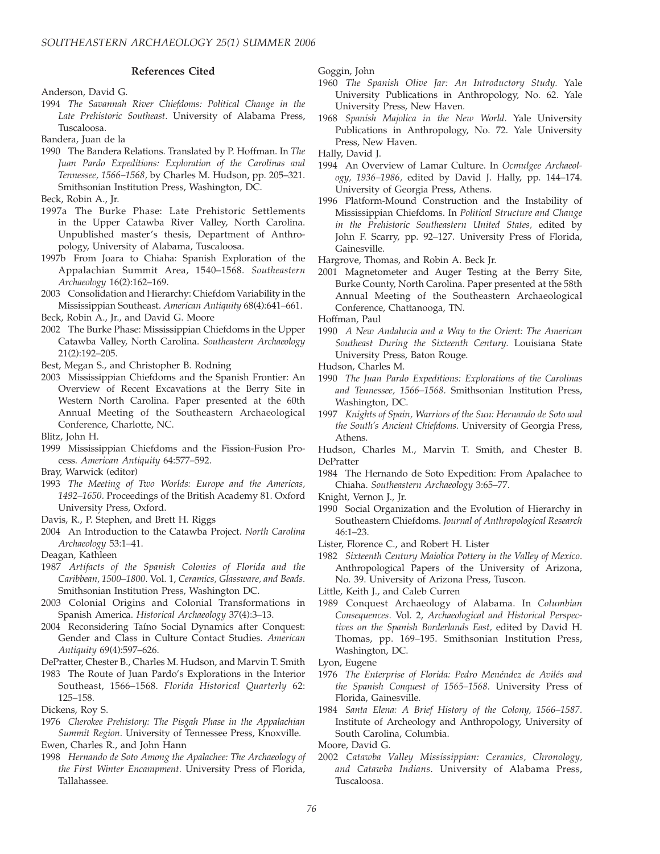## References Cited

- Anderson, David G.
- 1994 The Savannah River Chiefdoms: Political Change in the Late Prehistoric Southeast. University of Alabama Press, Tuscaloosa.
- Bandera, Juan de la
- 1990 The Bandera Relations. Translated by P. Hoffman. In The Juan Pardo Expeditions: Exploration of the Carolinas and Tennessee, 1566–1568, by Charles M. Hudson, pp. 205–321. Smithsonian Institution Press, Washington, DC.
- Beck, Robin A., Jr.
- 1997a The Burke Phase: Late Prehistoric Settlements in the Upper Catawba River Valley, North Carolina. Unpublished master's thesis, Department of Anthropology, University of Alabama, Tuscaloosa.
- 1997b From Joara to Chiaha: Spanish Exploration of the Appalachian Summit Area, 1540–1568. Southeastern Archaeology 16(2):162–169.
- 2003 Consolidation and Hierarchy: Chiefdom Variability in the Mississippian Southeast. American Antiquity 68(4):641–661.
- Beck, Robin A., Jr., and David G. Moore
- 2002 The Burke Phase: Mississippian Chiefdoms in the Upper Catawba Valley, North Carolina. Southeastern Archaeology 21(2):192–205.
- Best, Megan S., and Christopher B. Rodning
- 2003 Mississippian Chiefdoms and the Spanish Frontier: An Overview of Recent Excavations at the Berry Site in Western North Carolina. Paper presented at the 60th Annual Meeting of the Southeastern Archaeological Conference, Charlotte, NC.
- Blitz, John H.
- 1999 Mississippian Chiefdoms and the Fission-Fusion Process. American Antiquity 64:577–592.
- Bray, Warwick (editor)
- 1993 The Meeting of Two Worlds: Europe and the Americas, 1492–1650. Proceedings of the British Academy 81. Oxford University Press, Oxford.
- Davis, R., P. Stephen, and Brett H. Riggs
- 2004 An Introduction to the Catawba Project. North Carolina Archaeology 53:1–41.
- Deagan, Kathleen
- 1987 Artifacts of the Spanish Colonies of Florida and the Caribbean, 1500–1800. Vol. 1, Ceramics, Glassware, and Beads. Smithsonian Institution Press, Washington DC.
- 2003 Colonial Origins and Colonial Transformations in Spanish America. Historical Archaeology 37(4):3–13.
- 2004 Reconsidering Taíno Social Dynamics after Conquest: Gender and Class in Culture Contact Studies. American Antiquity 69(4):597–626.
- DePratter, Chester B., Charles M. Hudson, and Marvin T. Smith
- 1983 The Route of Juan Pardo's Explorations in the Interior Southeast, 1566–1568. Florida Historical Quarterly 62: 125–158.
- Dickens, Roy S.
- 1976 Cherokee Prehistory: The Pisgah Phase in the Appalachian Summit Region. University of Tennessee Press, Knoxville. Ewen, Charles R., and John Hann
- 1998 Hernando de Soto Among the Apalachee: The Archaeology of the First Winter Encampment. University Press of Florida, Tallahassee.

Goggin, John

- 1960 The Spanish Olive Jar: An Introductory Study. Yale University Publications in Anthropology, No. 62. Yale University Press, New Haven.
- 1968 Spanish Majolica in the New World. Yale University Publications in Anthropology, No. 72. Yale University Press, New Haven.
- Hally, David J.
- 1994 An Overview of Lamar Culture. In Ocmulgee Archaeology, 1936–1986, edited by David J. Hally, pp. 144–174. University of Georgia Press, Athens.
- 1996 Platform-Mound Construction and the Instability of Mississippian Chiefdoms. In Political Structure and Change in the Prehistoric Southeastern United States, edited by John F. Scarry, pp. 92–127. University Press of Florida, Gainesville.
- Hargrove, Thomas, and Robin A. Beck Jr.
- 2001 Magnetometer and Auger Testing at the Berry Site, Burke County, North Carolina. Paper presented at the 58th Annual Meeting of the Southeastern Archaeological Conference, Chattanooga, TN.

Hoffman, Paul

- 1990 A New Andalucia and a Way to the Orient: The American Southeast During the Sixteenth Century. Louisiana State University Press, Baton Rouge.
- Hudson, Charles M.
- 1990 The Juan Pardo Expeditions: Explorations of the Carolinas and Tennessee, 1566–1568. Smithsonian Institution Press, Washington, DC.
- 1997 Knights of Spain, Warriors of the Sun: Hernando de Soto and the South's Ancient Chiefdoms. University of Georgia Press, Athens.
- Hudson, Charles M., Marvin T. Smith, and Chester B. DePratter
- 1984 The Hernando de Soto Expedition: From Apalachee to Chiaha. Southeastern Archaeology 3:65–77.
- Knight, Vernon J., Jr.
- 1990 Social Organization and the Evolution of Hierarchy in Southeastern Chiefdoms. Journal of Anthropological Research  $46.1 - 23$
- Lister, Florence C., and Robert H. Lister
- 1982 Sixteenth Century Maiolica Pottery in the Valley of Mexico. Anthropological Papers of the University of Arizona, No. 39. University of Arizona Press, Tuscon.
- Little, Keith J., and Caleb Curren
- 1989 Conquest Archaeology of Alabama. In Columbian Consequences. Vol. 2, Archaeological and Historical Perspectives on the Spanish Borderlands East, edited by David H. Thomas, pp. 169–195. Smithsonian Institution Press, Washington, DC.
- Lyon, Eugene
- 1976 The Enterprise of Florida: Pedro Menéndez de Avilés and the Spanish Conquest of 1565–1568. University Press of Florida, Gainesville.
- 1984 Santa Elena: A Brief History of the Colony, 1566–1587. Institute of Archeology and Anthropology, University of South Carolina, Columbia.
- Moore, David G.
- 2002 Catawba Valley Mississippian: Ceramics, Chronology, and Catawba Indians. University of Alabama Press, Tuscaloosa.